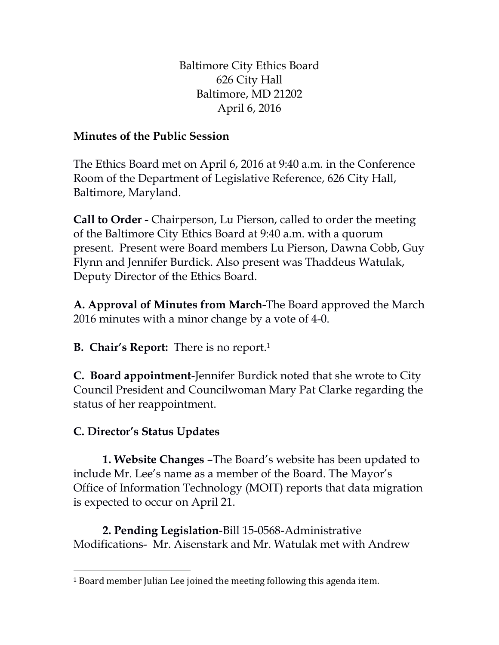Baltimore City Ethics Board 626 City Hall Baltimore, MD 21202 April 6, 2016

## **Minutes of the Public Session**

The Ethics Board met on April 6, 2016 at 9:40 a.m. in the Conference Room of the Department of Legislative Reference, 626 City Hall, Baltimore, Maryland.

**Call to Order -** Chairperson, Lu Pierson, called to order the meeting of the Baltimore City Ethics Board at 9:40 a.m. with a quorum present. Present were Board members Lu Pierson, Dawna Cobb, Guy Flynn and Jennifer Burdick. Also present was Thaddeus Watulak, Deputy Director of the Ethics Board.

**A. Approval of Minutes from March-**The Board approved the March 2016 minutes with a minor change by a vote of 4-0.

**B. Chair's Report:** There is no report.<sup>1</sup>

**C. Board appointment**-Jennifer Burdick noted that she wrote to City Council President and Councilwoman Mary Pat Clarke regarding the status of her reappointment.

## **C. Director's Status Updates**

**1. Website Changes** –The Board's website has been updated to include Mr. Lee's name as a member of the Board. The Mayor's Office of Information Technology (MOIT) reports that data migration is expected to occur on April 21.

**2. Pending Legislation**-Bill 15-0568-Administrative Modifications- Mr. Aisenstark and Mr. Watulak met with Andrew

 $\overline{\phantom{0}}$ <sup>1</sup> Board member Julian Lee joined the meeting following this agenda item.